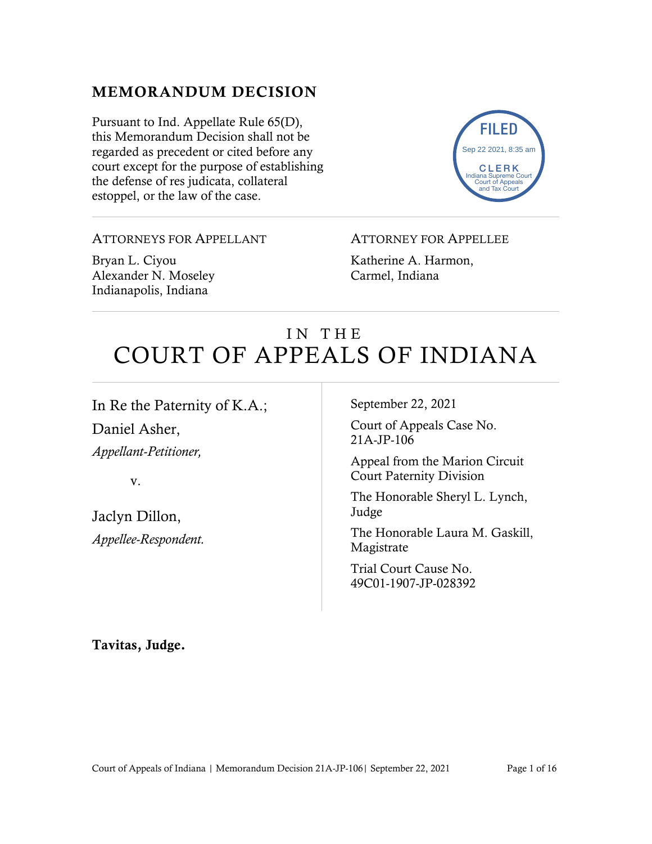# MEMORANDUM DECISION

Pursuant to Ind. Appellate Rule 65(D), this Memorandum Decision shall not be regarded as precedent or cited before any court except for the purpose of establishing the defense of res judicata, collateral estoppel, or the law of the case.



#### ATTORNEYS FOR APPELLANT

Bryan L. Ciyou Alexander N. Moseley Indianapolis, Indiana

#### ATTORNEY FOR APPELLEE

Katherine A. Harmon, Carmel, Indiana

# IN THE COURT OF APPEALS OF INDIANA

In Re the Paternity of K.A.;

Daniel Asher, *Appellant-Petitioner,*

v.

Jaclyn Dillon, *Appellee-Respondent.* September 22, 2021

Court of Appeals Case No. 21A-JP-106

Appeal from the Marion Circuit Court Paternity Division

The Honorable Sheryl L. Lynch, Judge

The Honorable Laura M. Gaskill, Magistrate

Trial Court Cause No. 49C01-1907-JP-028392

Tavitas, Judge.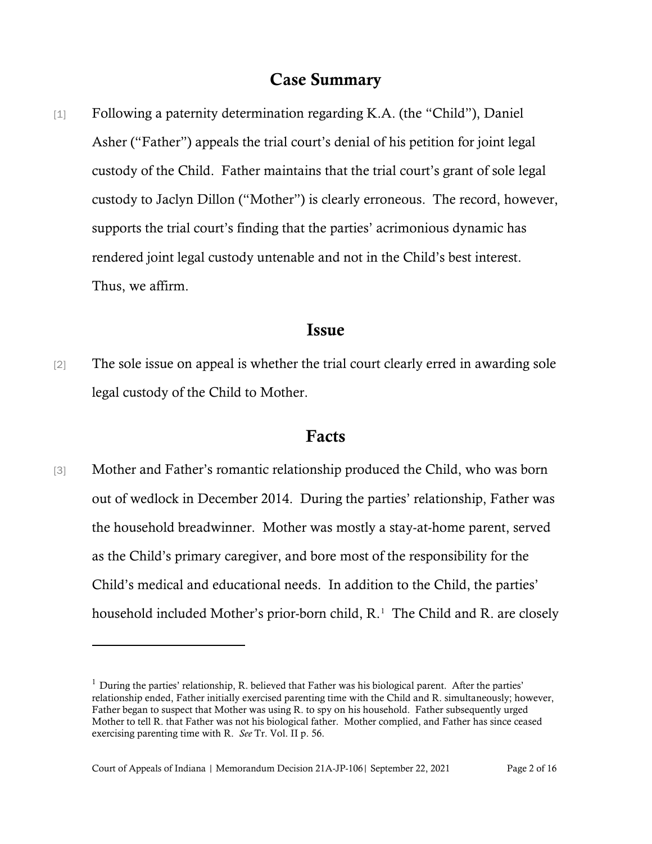## Case Summary

[1] Following a paternity determination regarding K.A. (the "Child"), Daniel Asher ("Father") appeals the trial court's denial of his petition for joint legal custody of the Child. Father maintains that the trial court's grant of sole legal custody to Jaclyn Dillon ("Mother") is clearly erroneous. The record, however, supports the trial court's finding that the parties' acrimonious dynamic has rendered joint legal custody untenable and not in the Child's best interest. Thus, we affirm.

#### Issue

[2] The sole issue on appeal is whether the trial court clearly erred in awarding sole legal custody of the Child to Mother.

### Facts

[3] Mother and Father's romantic relationship produced the Child, who was born out of wedlock in December 2014. During the parties' relationship, Father was the household breadwinner. Mother was mostly a stay-at-home parent, served as the Child's primary caregiver, and bore most of the responsibility for the Child's medical and educational needs. In addition to the Child, the parties' household included Mother's prior-born child, R.<sup>[1](#page-1-0)</sup> The Child and R. are closely

<span id="page-1-0"></span> $1$  During the parties' relationship, R. believed that Father was his biological parent. After the parties' relationship ended, Father initially exercised parenting time with the Child and R. simultaneously; however, Father began to suspect that Mother was using R. to spy on his household. Father subsequently urged Mother to tell R. that Father was not his biological father. Mother complied, and Father has since ceased exercising parenting time with R. *See* Tr. Vol. II p. 56.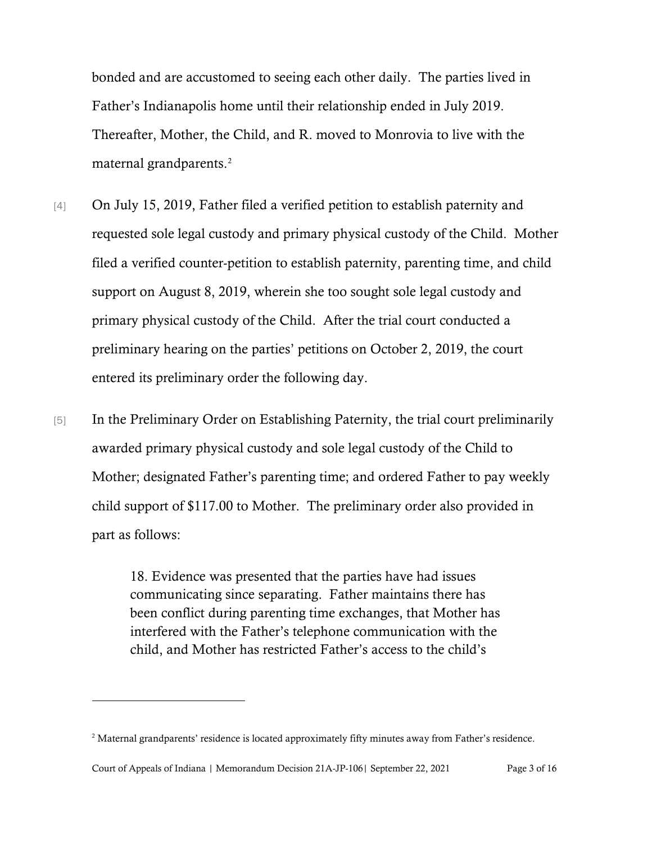bonded and are accustomed to seeing each other daily. The parties lived in Father's Indianapolis home until their relationship ended in July 2019. Thereafter, Mother, the Child, and R. moved to Monrovia to live with the maternal grandparents.<sup>[2](#page-2-0)</sup>

- [4] On July 15, 2019, Father filed a verified petition to establish paternity and requested sole legal custody and primary physical custody of the Child. Mother filed a verified counter-petition to establish paternity, parenting time, and child support on August 8, 2019, wherein she too sought sole legal custody and primary physical custody of the Child. After the trial court conducted a preliminary hearing on the parties' petitions on October 2, 2019, the court entered its preliminary order the following day.
- [5] In the Preliminary Order on Establishing Paternity, the trial court preliminarily awarded primary physical custody and sole legal custody of the Child to Mother; designated Father's parenting time; and ordered Father to pay weekly child support of \$117.00 to Mother. The preliminary order also provided in part as follows:

18. Evidence was presented that the parties have had issues communicating since separating. Father maintains there has been conflict during parenting time exchanges, that Mother has interfered with the Father's telephone communication with the child, and Mother has restricted Father's access to the child's

<span id="page-2-0"></span><sup>&</sup>lt;sup>2</sup> Maternal grandparents' residence is located approximately fifty minutes away from Father's residence.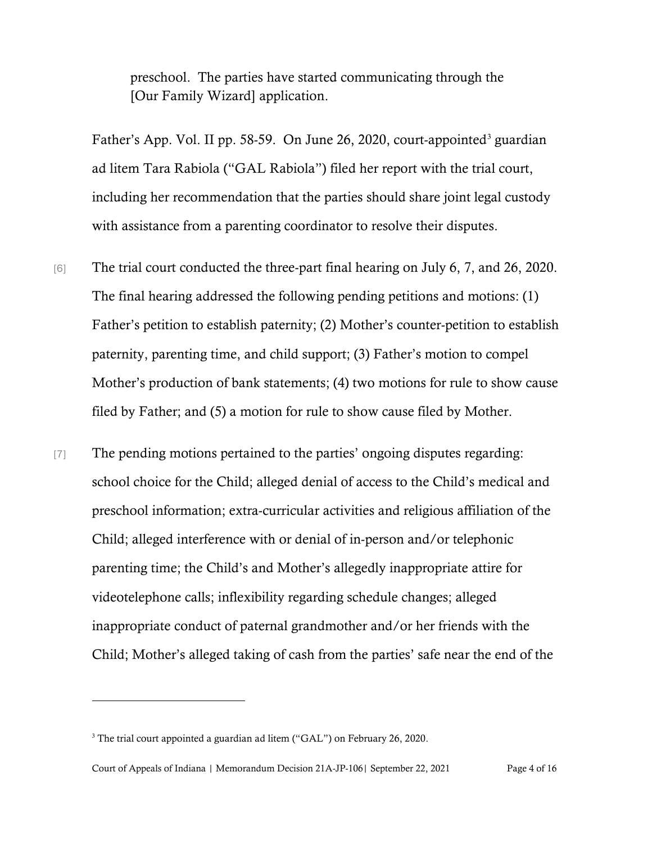preschool. The parties have started communicating through the [Our Family Wizard] application.

Father's App. Vol. II pp. 58-59. On June 26, 2020, court-appointed<sup>[3](#page-3-0)</sup> guardian ad litem Tara Rabiola ("GAL Rabiola") filed her report with the trial court, including her recommendation that the parties should share joint legal custody with assistance from a parenting coordinator to resolve their disputes.

- [6] The trial court conducted the three-part final hearing on July 6, 7, and 26, 2020. The final hearing addressed the following pending petitions and motions: (1) Father's petition to establish paternity; (2) Mother's counter-petition to establish paternity, parenting time, and child support; (3) Father's motion to compel Mother's production of bank statements; (4) two motions for rule to show cause filed by Father; and (5) a motion for rule to show cause filed by Mother.
- [7] The pending motions pertained to the parties' ongoing disputes regarding: school choice for the Child; alleged denial of access to the Child's medical and preschool information; extra-curricular activities and religious affiliation of the Child; alleged interference with or denial of in-person and/or telephonic parenting time; the Child's and Mother's allegedly inappropriate attire for videotelephone calls; inflexibility regarding schedule changes; alleged inappropriate conduct of paternal grandmother and/or her friends with the Child; Mother's alleged taking of cash from the parties' safe near the end of the

<span id="page-3-0"></span><sup>&</sup>lt;sup>3</sup> The trial court appointed a guardian ad litem ("GAL") on February 26, 2020.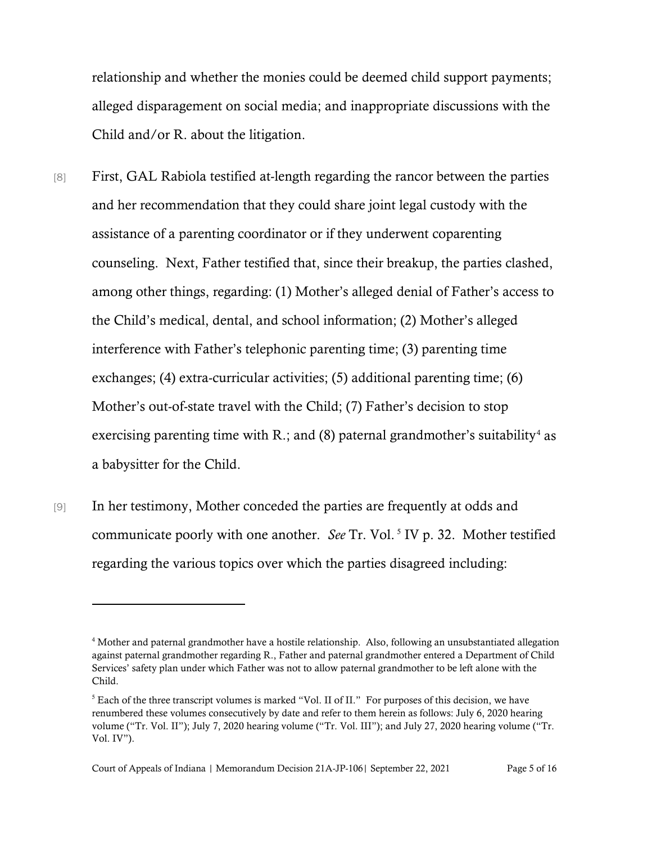relationship and whether the monies could be deemed child support payments; alleged disparagement on social media; and inappropriate discussions with the Child and/or R. about the litigation.

[8] First, GAL Rabiola testified at-length regarding the rancor between the parties and her recommendation that they could share joint legal custody with the assistance of a parenting coordinator or if they underwent coparenting counseling. Next, Father testified that, since their breakup, the parties clashed, among other things, regarding: (1) Mother's alleged denial of Father's access to the Child's medical, dental, and school information; (2) Mother's alleged interference with Father's telephonic parenting time; (3) parenting time exchanges; (4) extra-curricular activities; (5) additional parenting time; (6) Mother's out-of-state travel with the Child; (7) Father's decision to stop exercising parenting time with R.; and (8) paternal grandmother's suitability<sup>[4](#page-4-0)</sup> as a babysitter for the Child.

[9] In her testimony, Mother conceded the parties are frequently at odds and communicate poorly with one another. *See* Tr. Vol.<sup>[5](#page-4-1)</sup> IV p. 32. Mother testified regarding the various topics over which the parties disagreed including:

<span id="page-4-0"></span><sup>4</sup> Mother and paternal grandmother have a hostile relationship. Also, following an unsubstantiated allegation against paternal grandmother regarding R., Father and paternal grandmother entered a Department of Child Services' safety plan under which Father was not to allow paternal grandmother to be left alone with the Child.

<span id="page-4-1"></span> $<sup>5</sup>$  Each of the three transcript volumes is marked "Vol. II of II." For purposes of this decision, we have</sup> renumbered these volumes consecutively by date and refer to them herein as follows: July 6, 2020 hearing volume ("Tr. Vol. II"); July 7, 2020 hearing volume ("Tr. Vol. III"); and July 27, 2020 hearing volume ("Tr. Vol. IV").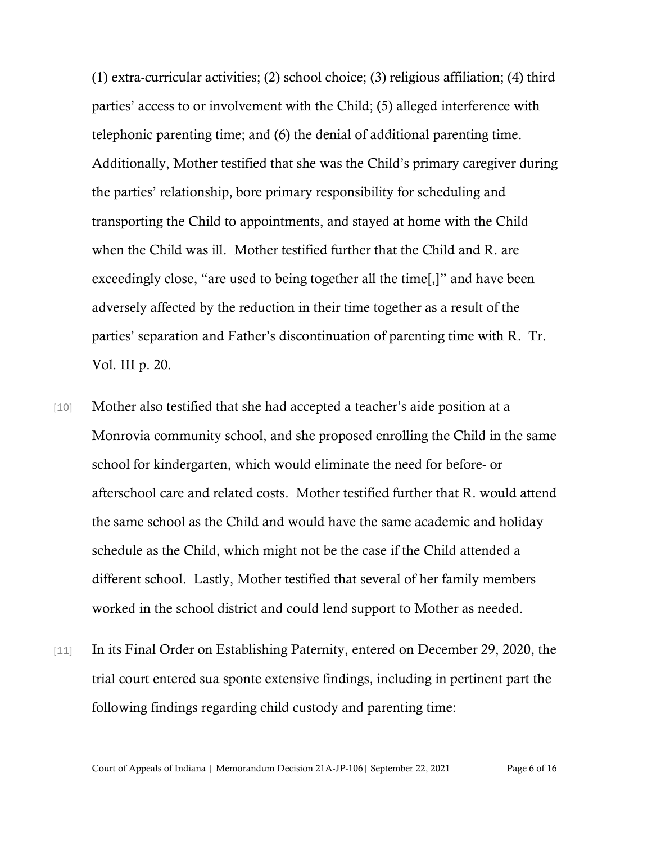(1) extra-curricular activities; (2) school choice; (3) religious affiliation; (4) third parties' access to or involvement with the Child; (5) alleged interference with telephonic parenting time; and (6) the denial of additional parenting time. Additionally, Mother testified that she was the Child's primary caregiver during the parties' relationship, bore primary responsibility for scheduling and transporting the Child to appointments, and stayed at home with the Child when the Child was ill. Mother testified further that the Child and R. are exceedingly close, "are used to being together all the time[,]" and have been adversely affected by the reduction in their time together as a result of the parties' separation and Father's discontinuation of parenting time with R. Tr. Vol. III p. 20.

- [10] Mother also testified that she had accepted a teacher's aide position at a Monrovia community school, and she proposed enrolling the Child in the same school for kindergarten, which would eliminate the need for before- or afterschool care and related costs. Mother testified further that R. would attend the same school as the Child and would have the same academic and holiday schedule as the Child, which might not be the case if the Child attended a different school. Lastly, Mother testified that several of her family members worked in the school district and could lend support to Mother as needed.
- [11] In its Final Order on Establishing Paternity, entered on December 29, 2020, the trial court entered sua sponte extensive findings, including in pertinent part the following findings regarding child custody and parenting time:

Court of Appeals of Indiana | Memorandum Decision 21A-JP-106| September 22, 2021 Page 6 of 16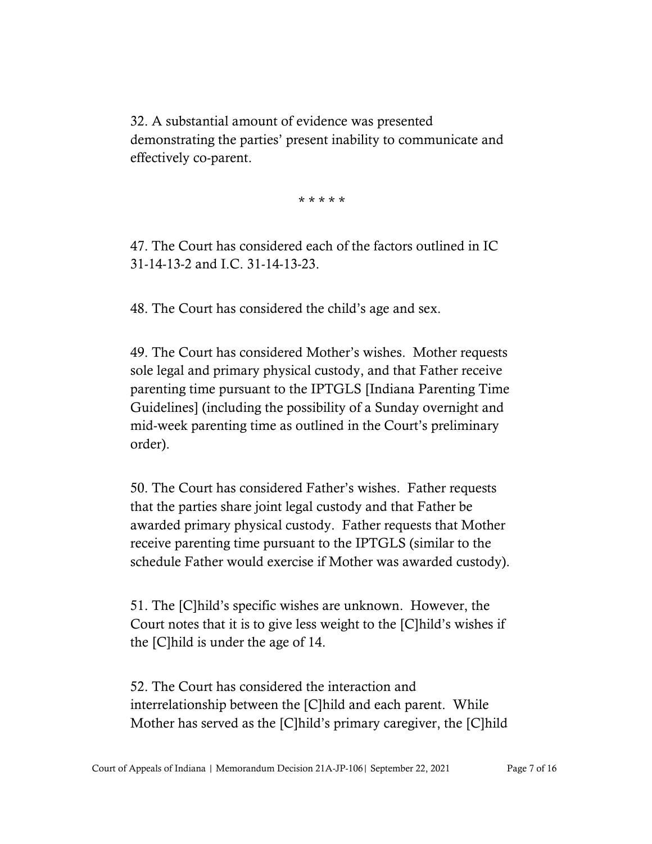32. A substantial amount of evidence was presented demonstrating the parties' present inability to communicate and effectively co-parent.

\* \* \* \* \*

47. The Court has considered each of the factors outlined in IC 31-14-13-2 and I.C. 31-14-13-23.

48. The Court has considered the child's age and sex.

49. The Court has considered Mother's wishes. Mother requests sole legal and primary physical custody, and that Father receive parenting time pursuant to the IPTGLS [Indiana Parenting Time Guidelines] (including the possibility of a Sunday overnight and mid-week parenting time as outlined in the Court's preliminary order).

50. The Court has considered Father's wishes. Father requests that the parties share joint legal custody and that Father be awarded primary physical custody. Father requests that Mother receive parenting time pursuant to the IPTGLS (similar to the schedule Father would exercise if Mother was awarded custody).

51. The [C]hild's specific wishes are unknown. However, the Court notes that it is to give less weight to the [C]hild's wishes if the [C]hild is under the age of 14.

52. The Court has considered the interaction and interrelationship between the [C]hild and each parent. While Mother has served as the [C]hild's primary caregiver, the [C]hild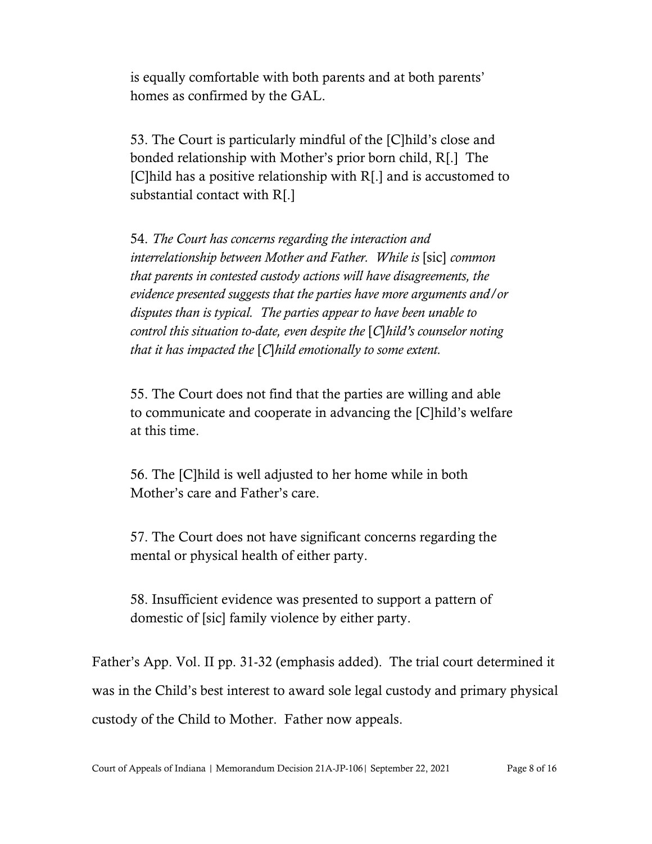is equally comfortable with both parents and at both parents' homes as confirmed by the GAL.

53. The Court is particularly mindful of the [C]hild's close and bonded relationship with Mother's prior born child, R[.] The [C]hild has a positive relationship with R[.] and is accustomed to substantial contact with R[.]

54. *The Court has concerns regarding the interaction and interrelationship between Mother and Father. While is* [sic] *common that parents in contested custody actions will have disagreements, the evidence presented suggests that the parties have more arguments and/or disputes than is typical. The parties appear to have been unable to control this situation to-date, even despite the* [*C*]*hild's counselor noting that it has impacted the* [*C*]*hild emotionally to some extent.*

55. The Court does not find that the parties are willing and able to communicate and cooperate in advancing the [C]hild's welfare at this time.

56. The [C]hild is well adjusted to her home while in both Mother's care and Father's care.

57. The Court does not have significant concerns regarding the mental or physical health of either party.

58. Insufficient evidence was presented to support a pattern of domestic of [sic] family violence by either party.

Father's App. Vol. II pp. 31-32 (emphasis added). The trial court determined it was in the Child's best interest to award sole legal custody and primary physical custody of the Child to Mother. Father now appeals.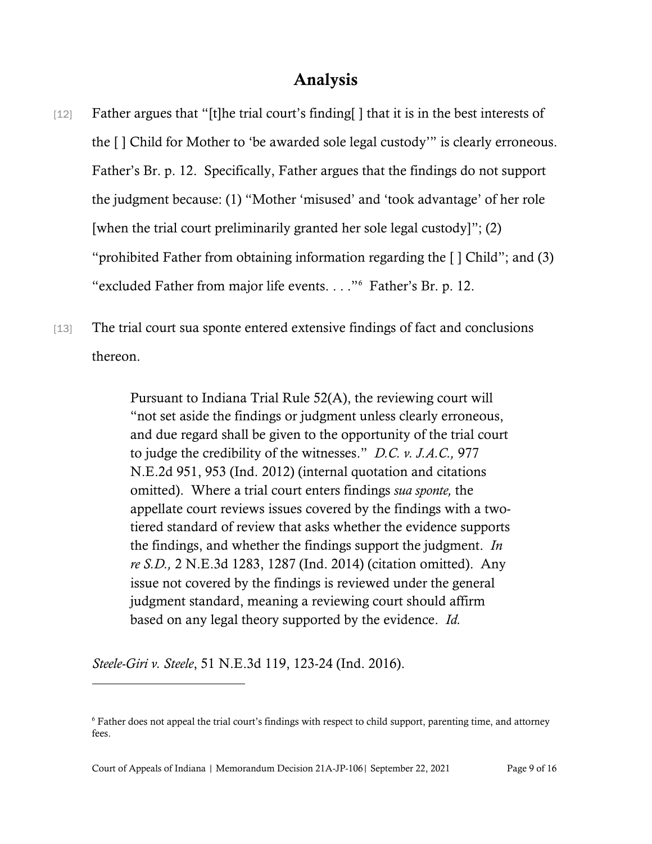# Analysis

- [12] Father argues that "[t]he trial court's finding[] that it is in the best interests of the [ ] Child for Mother to 'be awarded sole legal custody'" is clearly erroneous. Father's Br. p. 12. Specifically, Father argues that the findings do not support the judgment because: (1) "Mother 'misused' and 'took advantage' of her role [when the trial court preliminarily granted her sole legal custody]"; (2) "prohibited Father from obtaining information regarding the [ ] Child"; and (3) "excluded Father from major life events. . . ."[6](#page-8-0) Father's Br. p. 12.
- [13] The trial court sua sponte entered extensive findings of fact and conclusions thereon.

Pursuant to Indiana Trial Rule 52(A), the reviewing court will "not set aside the findings or judgment unless clearly erroneous, and due regard shall be given to the opportunity of the trial court to judge the credibility of the witnesses." *D.C. v. J.A.C.,* 977 N.E.2d 951, 953 (Ind. 2012) (internal quotation and citations omitted). Where a trial court enters findings *sua sponte,* the appellate court reviews issues covered by the findings with a twotiered standard of review that asks whether the evidence supports the findings, and whether the findings support the judgment. *In re S.D.,* 2 N.E.3d 1283, 1287 (Ind. 2014) (citation omitted). Any issue not covered by the findings is reviewed under the general judgment standard, meaning a reviewing court should affirm based on any legal theory supported by the evidence. *Id.*

*Steele-Giri v. Steele*, 51 N.E.3d 119, 123-24 (Ind. 2016).

Court of Appeals of Indiana | Memorandum Decision 21A-JP-106| September 22, 2021 Page 9 of 16

<span id="page-8-0"></span><sup>6</sup> Father does not appeal the trial court's findings with respect to child support, parenting time, and attorney fees.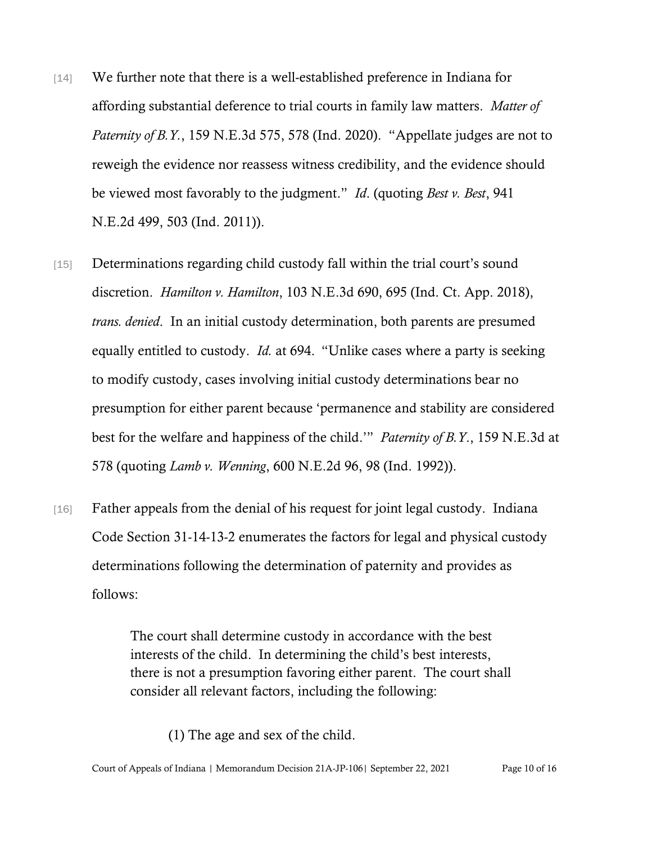- [14] We further note that there is a well-established preference in Indiana for affording substantial deference to trial courts in family law matters. *Matter of Paternity of B.Y.*, 159 N.E.3d 575, 578 (Ind. 2020). "Appellate judges are not to reweigh the evidence nor reassess witness credibility, and the evidence should be viewed most favorably to the judgment." *Id*. (quoting *Best v. Best*, 941 N.E.2d 499, 503 (Ind. 2011)).
- [15] Determinations regarding child custody fall within the trial court's sound discretion. *Hamilton v. Hamilton*, 103 N.E.3d 690, 695 (Ind. Ct. App. 2018), *trans. denied*. In an initial custody determination, both parents are presumed equally entitled to custody. *Id.* at 694."Unlike cases where a party is seeking to modify custody, cases involving initial custody determinations bear no presumption for either parent because 'permanence and stability are considered best for the welfare and happiness of the child.'" *Paternity of B.Y*., 159 N.E.3d at 578 (quoting *Lamb v. Wenning*, 600 N.E.2d 96, 98 (Ind. 1992)).
- [16] Father appeals from the denial of his request for joint legal custody. Indiana Code Section 31-14-13-2 enumerates the factors for legal and physical custody determinations following the determination of paternity and provides as follows:

The court shall determine custody in accordance with the best interests of the child. In determining the child's best interests, there is not a presumption favoring either parent. The court shall consider all relevant factors, including the following:

(1) The age and sex of the child.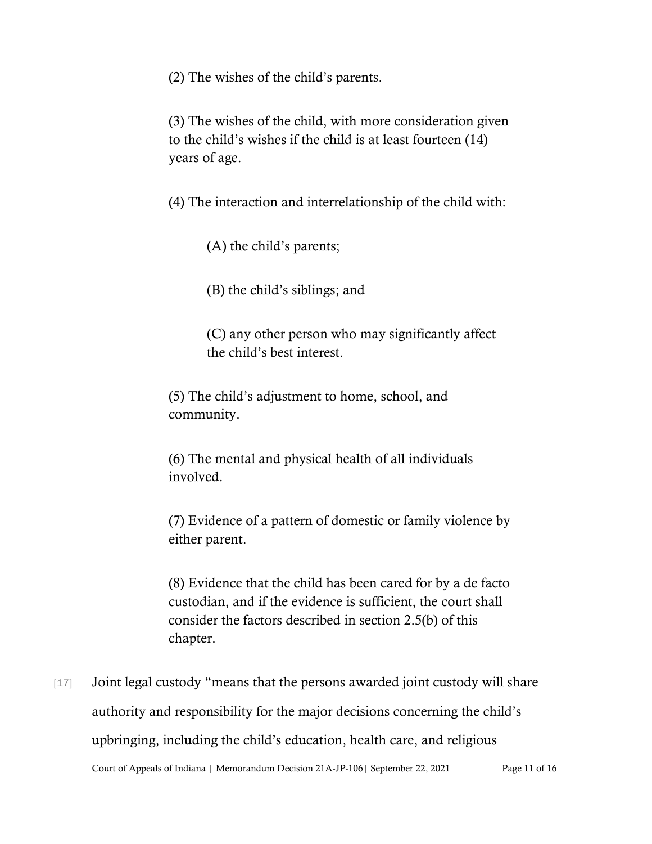(2) The wishes of the child's parents.

(3) The wishes of the child, with more consideration given to the child's wishes if the child is at least fourteen (14) years of age.

(4) The interaction and interrelationship of the child with:

(A) the child's parents;

(B) the child's siblings; and

(C) any other person who may significantly affect the child's best interest.

(5) The child's adjustment to home, school, and community.

(6) The mental and physical health of all individuals involved.

(7) Evidence of a pattern of domestic or family violence by either parent.

(8) Evidence that the child has been cared for by a de facto custodian, and if the evidence is sufficient, the court shall consider the factors described in section 2.5(b) of this chapter.

Court of Appeals of Indiana | Memorandum Decision 21A-JP-106| September 22, 2021 Page 11 of 16 [17] Joint legal custody "means that the persons awarded joint custody will share authority and responsibility for the major decisions concerning the child's upbringing, including the child's education, health care, and religious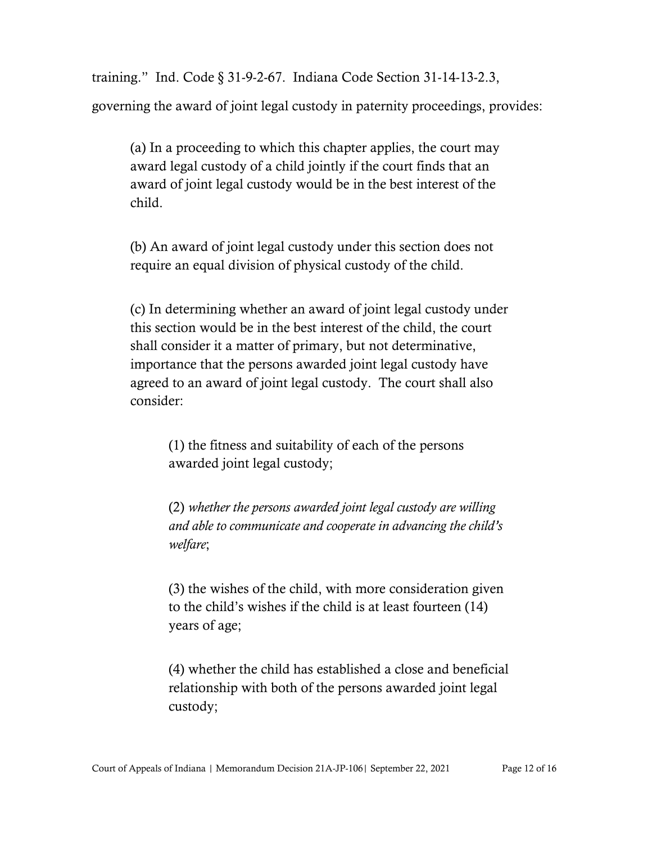training." Ind. Code § 31-9-2-67. Indiana Code Section 31-14-13-2.3, governing the award of joint legal custody in paternity proceedings, provides:

(a) In a proceeding to which this chapter applies, the court may award legal custody of a child jointly if the court finds that an award of joint legal custody would be in the best interest of the child.

(b) An award of joint legal custody under this section does not require an equal division of physical custody of the child.

(c) In determining whether an award of joint legal custody under this section would be in the best interest of the child, the court shall consider it a matter of primary, but not determinative, importance that the persons awarded joint legal custody have agreed to an award of joint legal custody. The court shall also consider:

> (1) the fitness and suitability of each of the persons awarded joint legal custody;

(2) *whether the persons awarded joint legal custody are willing and able to communicate and cooperate in advancing the child's welfare*;

(3) the wishes of the child, with more consideration given to the child's wishes if the child is at least fourteen (14) years of age;

(4) whether the child has established a close and beneficial relationship with both of the persons awarded joint legal custody;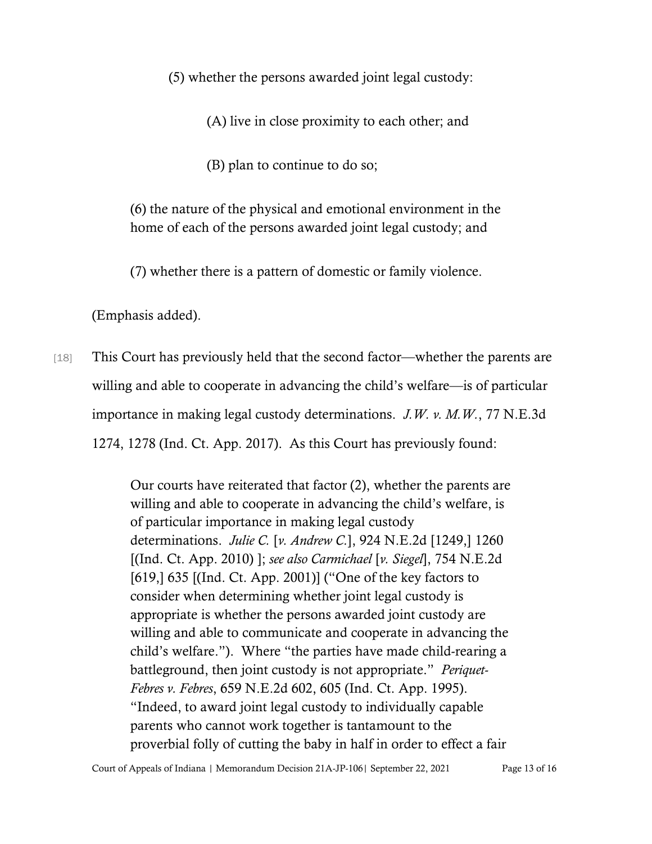(5) whether the persons awarded joint legal custody:

(A) live in close proximity to each other; and

(B) plan to continue to do so;

(6) the nature of the physical and emotional environment in the home of each of the persons awarded joint legal custody; and

(7) whether there is a pattern of domestic or family violence.

(Emphasis added).

[18] This Court has previously held that the second factor—whether the parents are willing and able to cooperate in advancing the child's welfare—is of particular importance in making legal custody determinations. *J.W. v. M.W.*, 77 N.E.3d 1274, 1278 (Ind. Ct. App. 2017). As this Court has previously found:

> Our courts have reiterated that factor (2), whether the parents are willing and able to cooperate in advancing the child's welfare, is of particular importance in making legal custody determinations. *Julie C.* [*v. Andrew C.*], 924 N.E.2d [1249,] 1260 [(Ind. Ct. App. 2010) ]; *see also Carmichael* [*v. Siegel*], 754 N.E.2d [619,] 635 [(Ind. Ct. App. 2001)] ("One of the key factors to consider when determining whether joint legal custody is appropriate is whether the persons awarded joint custody are willing and able to communicate and cooperate in advancing the child's welfare."). Where "the parties have made child-rearing a battleground, then joint custody is not appropriate." *Periquet-Febres v. Febres*, 659 N.E.2d 602, 605 (Ind. Ct. App. 1995). "Indeed, to award joint legal custody to individually capable parents who cannot work together is tantamount to the proverbial folly of cutting the baby in half in order to effect a fair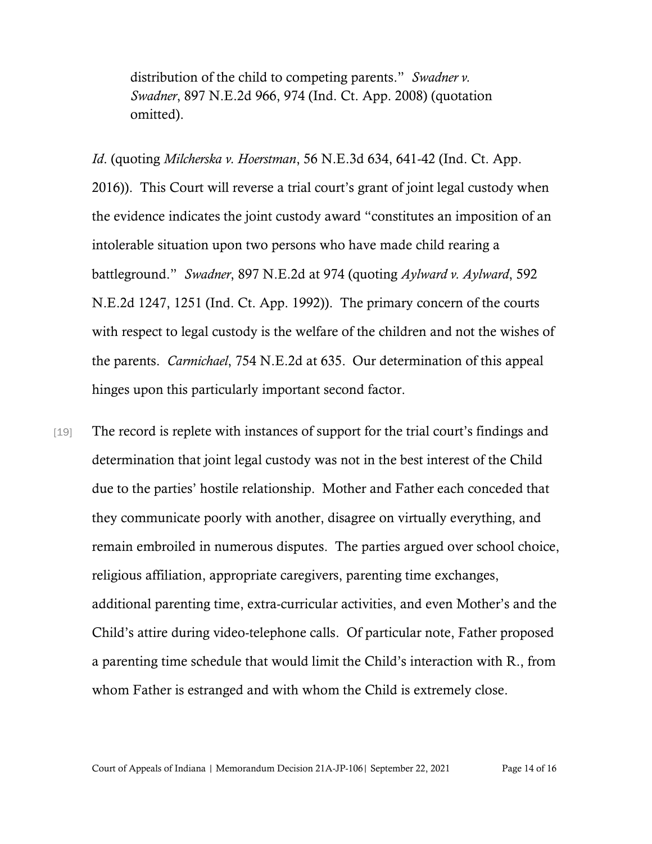distribution of the child to competing parents." *Swadner v. Swadner*, 897 N.E.2d 966, 974 (Ind. Ct. App. 2008) (quotation omitted).

*Id*. (quoting *Milcherska v. Hoerstman*, 56 N.E.3d 634, 641-42 (Ind. Ct. App. 2016)). This Court will reverse a trial court's grant of joint legal custody when the evidence indicates the joint custody award "constitutes an imposition of an intolerable situation upon two persons who have made child rearing a battleground." *Swadner*, 897 N.E.2d at 974 (quoting *Aylward v. Aylward*, 592 N.E.2d 1247, 1251 (Ind. Ct. App. 1992)). The primary concern of the courts with respect to legal custody is the welfare of the children and not the wishes of the parents. *Carmichael*, 754 N.E.2d at 635.Our determination of this appeal hinges upon this particularly important second factor.

[19] The record is replete with instances of support for the trial court's findings and determination that joint legal custody was not in the best interest of the Child due to the parties' hostile relationship. Mother and Father each conceded that they communicate poorly with another, disagree on virtually everything, and remain embroiled in numerous disputes. The parties argued over school choice, religious affiliation, appropriate caregivers, parenting time exchanges, additional parenting time, extra-curricular activities, and even Mother's and the Child's attire during video-telephone calls. Of particular note, Father proposed a parenting time schedule that would limit the Child's interaction with R., from whom Father is estranged and with whom the Child is extremely close.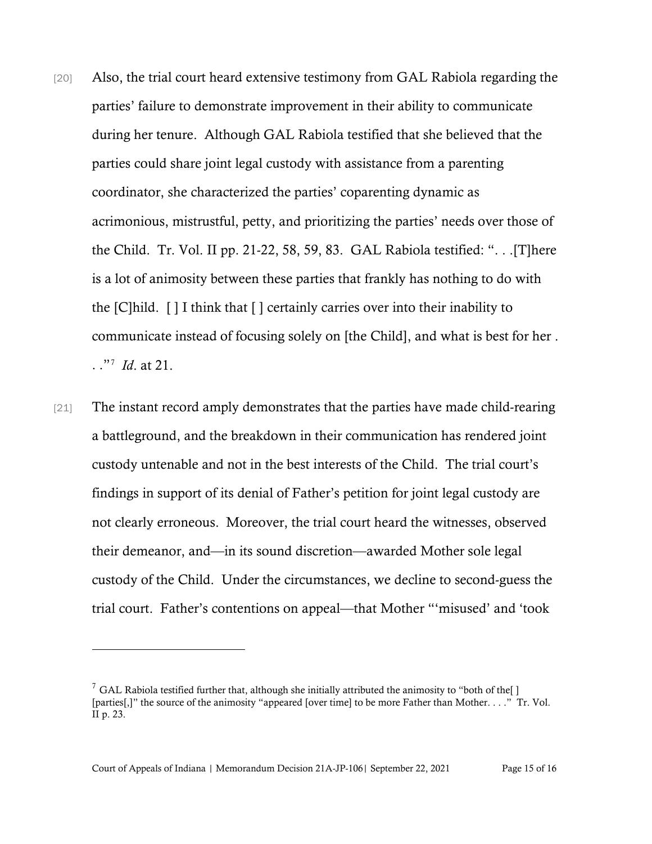- [20] Also, the trial court heard extensive testimony from GAL Rabiola regarding the parties' failure to demonstrate improvement in their ability to communicate during her tenure. Although GAL Rabiola testified that she believed that the parties could share joint legal custody with assistance from a parenting coordinator, she characterized the parties' coparenting dynamic as acrimonious, mistrustful, petty, and prioritizing the parties' needs over those of the Child. Tr. Vol. II pp. 21-22, 58, 59, 83. GAL Rabiola testified: ". . .[T]here is a lot of animosity between these parties that frankly has nothing to do with the [C]hild. [ ] I think that [ ] certainly carries over into their inability to communicate instead of focusing solely on [the Child], and what is best for her . . ."[7](#page-14-0) *Id*. at 21.
- [21] The instant record amply demonstrates that the parties have made child-rearing a battleground, and the breakdown in their communication has rendered joint custody untenable and not in the best interests of the Child. The trial court's findings in support of its denial of Father's petition for joint legal custody are not clearly erroneous. Moreover, the trial court heard the witnesses, observed their demeanor, and—in its sound discretion—awarded Mother sole legal custody of the Child. Under the circumstances, we decline to second-guess the trial court. Father's contentions on appeal—that Mother "'misused' and 'took

<span id="page-14-0"></span> $7$  GAL Rabiola testified further that, although she initially attributed the animosity to "both of the[] [parties[,]" the source of the animosity "appeared [over time] to be more Father than Mother. . . ." Tr. Vol. II p. 23.